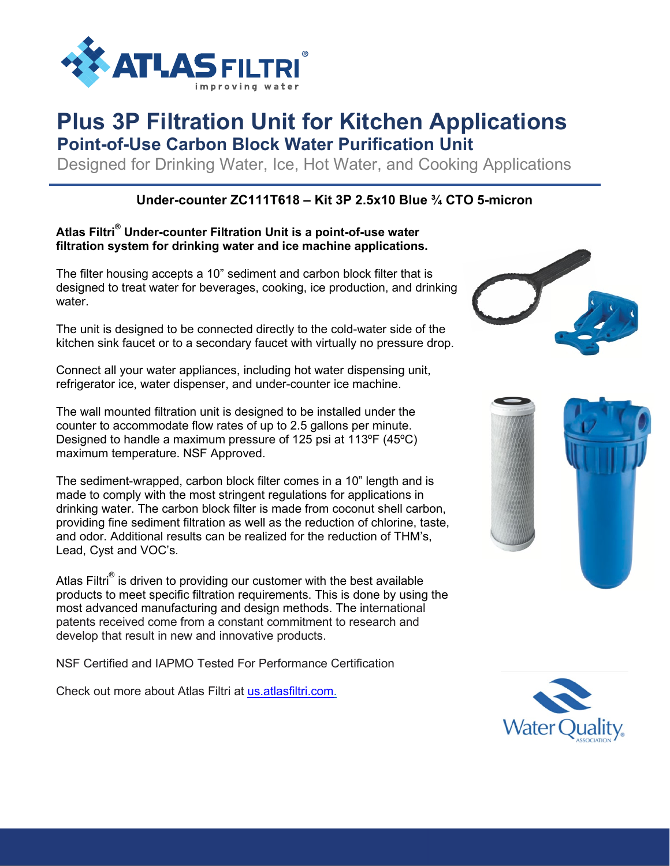

# **Plus 3P Filtration Unit for Kitchen Applications**

**Point-of-Use Carbon Block Water Purification Unit**

Designed for Drinking Water, Ice, Hot Water, and Cooking Applications

### **Under-counter ZC111T618 – Kit 3P 2.5x10 Blue ¾ CTO 5-micron**

#### **Atlas Filtri® Under-counter Filtration Unit is a point-of-use water filtration system for drinking water and ice machine applications.**

The filter housing accepts a 10" sediment and carbon block filter that is designed to treat water for beverages, cooking, ice production, and drinking water

The unit is designed to be connected directly to the cold-water side of the kitchen sink faucet or to a secondary faucet with virtually no pressure drop.

Connect all your water appliances, including hot water dispensing unit, refrigerator ice, water dispenser, and under-counter ice machine.

The wall mounted filtration unit is designed to be installed under the counter to accommodate flow rates of up to 2.5 gallons per minute. Designed to handle a maximum pressure of 125 psi at 113ºF (45ºC) maximum temperature. NSF Approved.

The sediment-wrapped, carbon block filter comes in a 10" length and is made to comply with the most stringent regulations for applications in drinking water. The carbon block filter is made from coconut shell carbon, providing fine sediment filtration as well as the reduction of chlorine, taste, and odor. Additional results can be realized for the reduction of THM's, Lead, Cyst and VOC's.

Atlas Filtri<sup>®</sup> is driven to providing our customer with the best available products to meet specific filtration requirements. This is done by using the most advanced manufacturing and design methods. The international patents received come from a constant commitment to research and develop that result in new and innovative products.

NSF Certified and IAPMO Tested For Performance Certification

Check out more about Atlas Filtri at us.atlasfiltri.com.